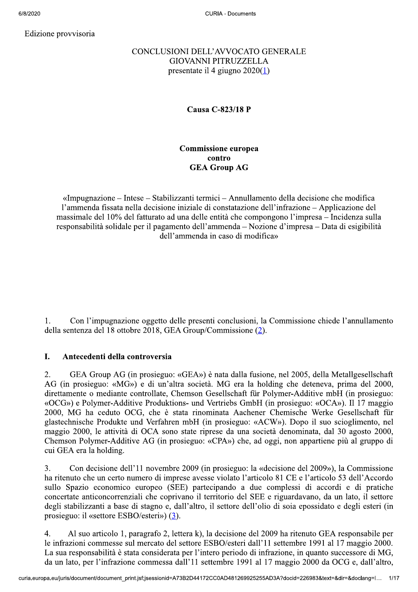Edizione provvisoria

# CONCLUSIONI DELL'AVVOCATO GENERALE **GIOVANNI PITRUZZELLA** presentate il 4 giugno  $2020(\underline{1})$

# Causa C-823/18 P

# **Commissione europea** contro **GEA Group AG**

«Impugnazione – Intese – Stabilizzanti termici – Annullamento della decisione che modifica l'ammenda fissata nella decisione iniziale di constatazione dell'infrazione – Applicazione del massimale del 10% del fatturato ad una delle entità che compongono l'impresa – Incidenza sulla responsabilità solidale per il pagamento dell'ammenda – Nozione d'impresa – Data di esigibilità dell'ammenda in caso di modifica»

 $1<sub>1</sub>$ Con l'impugnazione oggetto delle presenti conclusioni, la Commissione chiede l'annullamento della sentenza del 18 ottobre 2018, GEA Group/Commissione (2).

### I. Antecedenti della controversia

 $\overline{2}$ . GEA Group AG (in prosieguo: «GEA») è nata dalla fusione, nel 2005, della Metallgesellschaft AG (in prosieguo: «MG») e di un'altra società. MG era la holding che deteneva, prima del 2000, direttamente o mediante controllate, Chemson Gesellschaft für Polymer-Additive mbH (in prosieguo: «OCG») e Polymer-Additive Produktions- und Vertriebs GmbH (in prosieguo: «OCA»). Il 17 maggio 2000, MG ha ceduto OCG, che è stata rinominata Aachener Chemische Werke Gesellschaft für glastechnische Produkte und Verfahren mbH (in prosieguo: «ACW»). Dopo il suo scioglimento, nel maggio 2000, le attività di OCA sono state riprese da una società denominata, dal 30 agosto 2000, Chemson Polymer-Additive AG (in prosieguo: «CPA») che, ad oggi, non appartiene più al gruppo di cui GEA era la holding.

Con decisione dell'11 novembre 2009 (in prosieguo: la «decisione del 2009»), la Commissione 3. ha ritenuto che un certo numero di imprese avesse violato l'articolo 81 CE e l'articolo 53 dell'Accordo sullo Spazio economico europeo (SEE) partecipando a due complessi di accordi e di pratiche concertate anticoncorrenziali che coprivano il territorio del SEE e riguardavano, da un lato, il settore degli stabilizzanti a base di stagno e, dall'altro, il settore dell'olio di soia epossidato e degli esteri (in prosieguo: il «settore ESBO/esteri»)  $(3)$ .

Al suo articolo 1, paragrafo 2, lettera k), la decisione del 2009 ha ritenuto GEA responsabile per 4. le infrazioni commesse sul mercato del settore ESBO/esteri dall'11 settembre 1991 al 17 maggio 2000. La sua responsabilità è stata considerata per l'intero periodo di infrazione, in quanto successore di MG, da un lato, per l'infrazione commessa dall'11 settembre 1991 al 17 maggio 2000 da OCG e, dall'altro,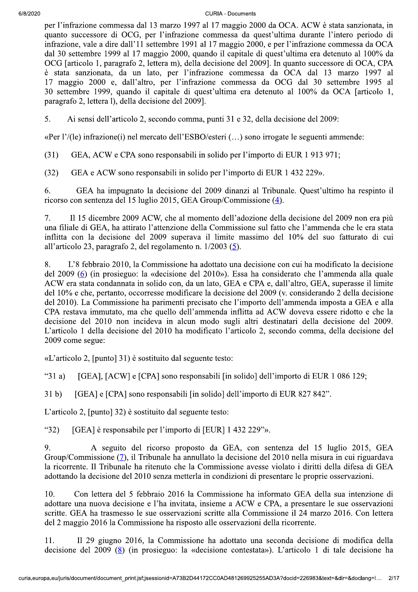**CURIA - Documents** 

per l'infrazione commessa dal 13 marzo 1997 al 17 maggio 2000 da OCA. ACW è stata sanzionata, in quanto successore di OCG, per l'infrazione commessa da quest'ultima durante l'intero periodo di infrazione, vale a dire dall'11 settembre 1991 al 17 maggio 2000, e per l'infrazione commessa da OCA dal 30 settembre 1999 al 17 maggio 2000, quando il capitale di quest'ultima era detenuto al 100% da OCG [articolo 1, paragrafo 2, lettera m), della decisione del 2009]. In quanto successore di OCA, CPA è stata sanzionata, da un lato, per l'infrazione commessa da OCA dal 13 marzo 1997 al 17 maggio 2000 e, dall'altro, per l'infrazione commessa da OCG dal 30 settembre 1995 al 30 settembre 1999, quando il capitale di quest'ultima era detenuto al 100% da OCA [articolo 1, paragrafo 2, lettera 1), della decisione del 2009].

5. Ai sensi dell'articolo 2, secondo comma, punti 31 e 32, della decisione del 2009:

«Per l'/(le) infrazione(i) nel mercato dell'ESBO/esteri (...) sono irrogate le seguenti ammende:

GEA, ACW e CPA sono responsabili in solido per l'importo di EUR 1913 971;  $(31)$ 

GEA e ACW sono responsabili in solido per l'importo di EUR 1 432 229».  $(32)$ 

GEA ha impugnato la decisione del 2009 dinanzi al Tribunale. Quest'ultimo ha respinto il 6. ricorso con sentenza del 15 luglio 2015, GEA Group/Commissione  $(4)$ .

Il 15 dicembre 2009 ACW, che al momento dell'adozione della decisione del 2009 non era più 7. una filiale di GEA, ha attirato l'attenzione della Commissione sul fatto che l'ammenda che le era stata inflitta con la decisione del 2009 superava il limite massimo del 10% del suo fatturato di cui all'articolo 23, paragrafo 2, del regolamento n.  $1/2003$  (5).

8. L'8 febbraio 2010, la Commissione ha adottato una decisione con cui ha modificato la decisione del 2009 (6) (in prosieguo: la «decisione del 2010»). Essa ha considerato che l'ammenda alla quale ACW era stata condannata in solido con, da un lato, GEA e CPA e, dall'altro, GEA, superasse il limite del 10% e che, pertanto, occorresse modificare la decisione del 2009 (v. considerando 2 della decisione del 2010). La Commissione ha parimenti precisato che l'importo dell'ammenda imposta a GEA e alla CPA restava immutato, ma che quello dell'ammenda inflitta ad ACW doveva essere ridotto e che la decisione del 2010 non incideva in alcun modo sugli altri destinatari della decisione del 2009. L'articolo 1 della decisione del 2010 ha modificato l'articolo 2, secondo comma, della decisione del 2009 come segue:

«L'articolo 2, [punto] 31) è sostituito dal seguente testo:

" $31a$ ) [GEA], [ACW] e [CPA] sono responsabili [in solido] dell'importo di EUR 1 086 129;

 $31<sub>b</sub>$ [GEA] e [CPA] sono responsabili [in solido] dell'importo di EUR 827 842".

L'articolo 2, [punto] 32) è sostituito dal seguente testo:

 $(32)$ [GEA] è responsabile per l'importo di [EUR] 1 432 229"».

A seguito del ricorso proposto da GEA, con sentenza del 15 luglio 2015, GEA 9. Group/Commissione  $(7)$ , il Tribunale ha annullato la decisione del 2010 nella misura in cui riguardava la ricorrente. Il Tribunale ha ritenuto che la Commissione avesse violato i diritti della difesa di GEA adottando la decisione del 2010 senza metterla in condizioni di presentare le proprie osservazioni.

10. Con lettera del 5 febbraio 2016 la Commissione ha informato GEA della sua intenzione di adottare una nuova decisione e l'ha invitata, insieme a ACW e CPA, a presentare le sue osservazioni scritte. GEA ha trasmesso le sue osservazioni scritte alla Commissione il 24 marzo 2016. Con lettera del 2 maggio 2016 la Commissione ha risposto alle osservazioni della ricorrente.

11. Il 29 giugno 2016, la Commissione ha adottato una seconda decisione di modifica della decisione del 2009 ( $\frac{8}{8}$ ) (in prosieguo: la «decisione contestata»). L'articolo 1 di tale decisione ha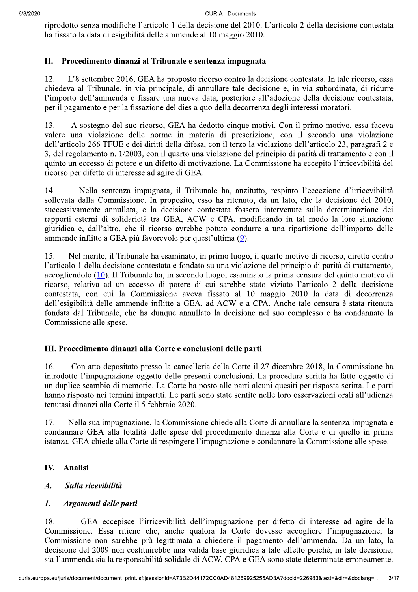riprodotto senza modifiche l'articolo 1 della decisione del 2010. L'articolo 2 della decisione contestata ha fissato la data di esigibilità delle ammende al 10 maggio 2010.

## II. Procedimento dinanzi al Tribunale e sentenza impugnata

12. L'8 settembre 2016, GEA ha proposto ricorso contro la decisione contestata. In tale ricorso, essa chiedeva al Tribunale, in via principale, di annullare tale decisione e, in via subordinata, di ridurre l'importo dell'ammenda e fissare una nuova data, posteriore all'adozione della decisione contestata, per il pagamento e per la fissazione del dies a quo della decorrenza degli interessi moratori.

A sostegno del suo ricorso, GEA ha dedotto cinque motivi. Con il primo motivo, essa faceva 13. valere una violazione delle norme in materia di prescrizione, con il secondo una violazione dell'articolo 266 TFUE e dei diritti della difesa, con il terzo la violazione dell'articolo 23, paragrafi 2 e 3, del regolamento n. 1/2003, con il quarto una violazione del principio di parità di trattamento e con il quinto un eccesso di potere e un difetto di motivazione. La Commissione ha eccepito l'irricevibilità del ricorso per difetto di interesse ad agire di GEA.

14. Nella sentenza impugnata, il Tribunale ha, anzitutto, respinto l'eccezione d'irricevibilità sollevata dalla Commissione. In proposito, esso ha ritenuto, da un lato, che la decisione del 2010, successivamente annullata, e la decisione contestata fossero intervenute sulla determinazione dei rapporti esterni di solidarietà tra GEA, ACW e CPA, modificando in tal modo la loro situazione giuridica e, dall'altro, che il ricorso avrebbe potuto condurre a una ripartizione dell'importo delle ammende inflitte a GEA più favorevole per quest'ultima (9).

15. Nel merito, il Tribunale ha esaminato, in primo luogo, il quarto motivo di ricorso, diretto contro l'articolo 1 della decisione contestata e fondato su una violazione del principio di parità di trattamento,  $accogliendolo (10)$ . Il Tribunale ha, in secondo luogo, esaminato la prima censura del quinto motivo di ricorso, relativa ad un eccesso di potere di cui sarebbe stato viziato l'articolo 2 della decisione contestata, con cui la Commissione aveva fissato al 10 maggio 2010 la data di decorrenza dell'esigibilità delle ammende inflitte a GEA, ad ACW e a CPA. Anche tale censura è stata ritenuta fondata dal Tribunale, che ha dunque annullato la decisione nel suo complesso e ha condannato la Commissione alle spese.

# III. Procedimento dinanzi alla Corte e conclusioni delle parti

16. Con atto depositato presso la cancelleria della Corte il 27 dicembre 2018, la Commissione ha introdotto l'impugnazione oggetto delle presenti conclusioni. La procedura scritta ha fatto oggetto di un duplice scambio di memorie. La Corte ha posto alle parti alcuni quesiti per risposta scritta. Le parti hanno risposto nei termini impartiti. Le parti sono state sentite nelle loro osservazioni orali all'udienza tenutasi dinanzi alla Corte il 5 febbraio 2020.

Nella sua impugnazione, la Commissione chiede alla Corte di annullare la sentenza impugnata e 17. condannare GEA alla totalità delle spese del procedimento dinanzi alla Corte e di quello in prima istanza. GEA chiede alla Corte di respingere l'impugnazione e condannare la Commissione alle spese.

## IV. Analisi

# $\overline{A}$ . Sulla ricevibilità

# 1. Argomenti delle parti

18 GEA eccepisce l'irricevibilità dell'impugnazione per difetto di interesse ad agire della Commissione. Essa ritiene che, anche qualora la Corte dovesse accogliere l'impugnazione, la Commissione non sarebbe più legittimata a chiedere il pagamento dell'ammenda. Da un lato, la decisione del 2009 non costituirebbe una valida base giuridica a tale effetto poiché, in tale decisione, sia l'ammenda sia la responsabilità solidale di ACW, CPA e GEA sono state determinate erroneamente.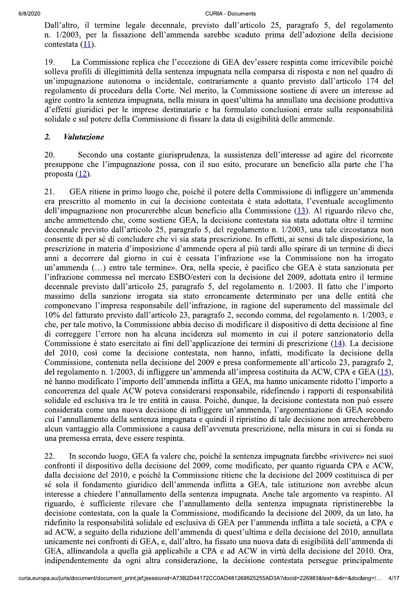Dall'altro, il termine legale decennale, previsto dall'articolo 25, paragrafo 5, del regolamento n. 1/2003, per la fissazione dell'ammenda sarebbe scaduto prima dell'adozione della decisione contestata (11).

19. La Commissione replica che l'eccezione di GEA dev'essere respinta come irricevibile poiché solleva profili di illegittimità della sentenza impugnata nella comparsa di risposta e non nel quadro di un'impugnazione autonoma o incidentale, contrariamente a quanto previsto dall'articolo 174 del regolamento di procedura della Corte. Nel merito, la Commissione sostiene di avere un interesse ad agire contro la sentenza impugnata, nella misura in quest'ultima ha annullato una decisione produttiva d'effetti giuridici per le imprese destinatarie e ha formulato conclusioni errate sulla responsabilità solidale e sul potere della Commissione di fissare la data di esigibilità delle ammende.

### $\overline{2}$ . **Valutazione**

Secondo una costante giurisprudenza, la sussistenza dell'interesse ad agire del ricorrente 20. presuppone che l'impugnazione possa, con il suo esito, procurare un beneficio alla parte che l'ha proposta (12).

21. GEA ritiene in primo luogo che, poiché il potere della Commissione di infliggere un'ammenda era prescritto al momento in cui la decisione contestata è stata adottata, l'eventuale accoglimento dell'impugnazione non procurerebbe alcun beneficio alla Commissione (13). Al riguardo rilevo che, anche ammettendo che, come sostiene GEA, la decisione contestata sia stata adottata oltre il termine decennale previsto dall'articolo 25, paragrafo 5, del regolamento n. 1/2003, una tale circostanza non consente di per sé di concludere che vi sia stata prescrizione. In effetti, ai sensi di tale disposizione, la prescrizione in materia d'imposizione d'ammende opera al più tardi allo spirare di un termine di dieci anni a decorrere dal giorno in cui è cessata l'infrazione «se la Commissione non ha irrogato un'ammenda (...) entro tale termine». Ora, nella specie, è pacifico che GEA è stata sanzionata per l'infrazione commessa nel mercato ESBO/esteri con la decisione del 2009, adottata entro il termine decennale previsto dall'articolo 25, paragrafo 5, del regolamento n. 1/2003. Il fatto che l'importo massimo della sanzione irrogata sia stato erroneamente determinato per una delle entità che componevano l'impresa responsabile dell'infrazione, in ragione del superamento del massimale del 10% del fatturato previsto dall'articolo 23, paragrafo 2, secondo comma, del regolamento n. 1/2003, e che, per tale motivo, la Commissione abbia deciso di modificare il dispositivo di detta decisione al fine di correggere l'errore non ha alcuna incidenza sul momento in cui il potere sanzionatorio della Commissione è stato esercitato ai fini dell'applicazione dei termini di prescrizione (14). La decisione del 2010, così come la decisione contestata, non hanno, infatti, modificato la decisione della Commissione, contenuta nella decisione del 2009 e presa conformemente all'articolo 23, paragrafo 2, del regolamento n. 1/2003, di infliggere un'ammenda all'impresa costituita da ACW, CPA e GEA (15), né hanno modificato l'importo dell'ammenda inflitta a GEA, ma hanno unicamente ridotto l'importo a concorrenza del quale ACW poteva considerarsi responsabile, ridefinendo i rapporti di responsabilità solidale ed esclusiva tra le tre entità in causa. Poiché, dunque, la decisione contestata non può essere considerata come una nuova decisione di infliggere un'ammenda, l'argomentazione di GEA secondo cui l'annullamento della sentenza impugnata e quindi il ripristino di tale decisione non arrecherebbero alcun vantaggio alla Commissione a causa dell'avvenuta prescrizione, nella misura in cui si fonda su una premessa errata, deve essere respinta.

22. In secondo luogo, GEA fa valere che, poiché la sentenza impugnata farebbe «rivivere» nei suoi confronti il dispositivo della decisione del 2009, come modificato, per quanto riguarda CPA e ACW. dalla decisione del 2010, e poiché la Commissione ritiene che la decisione del 2009 costituisca di per sé sola il fondamento giuridico dell'ammenda inflitta a GEA, tale istituzione non avrebbe alcun interesse a chiedere l'annullamento della sentenza impugnata. Anche tale argomento va respinto. Al riguardo, è sufficiente rilevare che l'annullamento della sentenza impugnata ripristinerebbe la decisione contestata, con la quale la Commissione, modificando la decisione del 2009, da un lato, ha ridefinito la responsabilità solidale ed esclusiva di GEA per l'ammenda inflitta a tale società, a CPA e ad ACW, a seguito della riduzione dell'ammenda di quest'ultima e della decisione del 2010, annullata unicamente nei confronti di GEA, e, dall'altro, ha fissato una nuova data di esigibilità dell'ammenda di GEA, allineandola a quella già applicabile a CPA e ad ACW in virtù della decisione del 2010. Ora, indipendentemente da ogni altra considerazione, la decisione contestata persegue principalmente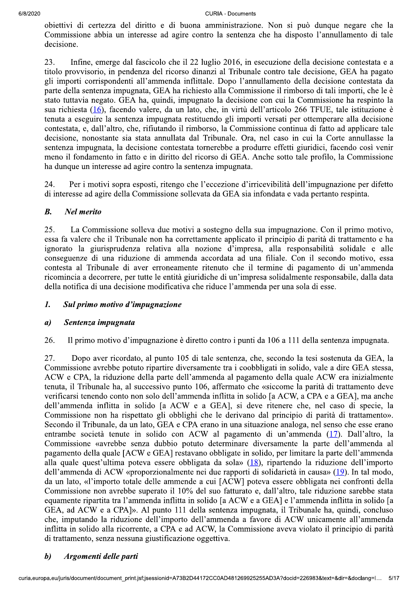# **CURIA - Documents**

obiettivi di certezza del diritto e di buona amministrazione. Non si può dunque negare che la Commissione abbia un interesse ad agire contro la sentenza che ha disposto l'annullamento di tale decisione.

Infine, emerge dal fascicolo che il 22 luglio 2016, in esecuzione della decisione contestata e a 23. titolo provvisorio, in pendenza del ricorso dinanzi al Tribunale contro tale decisione, GEA ha pagato gli importi corrispondenti all'ammenda inflittale. Dopo l'annullamento della decisione contestata da parte della sentenza impugnata. GEA ha richiesto alla Commissione il rimborso di tali importi, che le è stato tuttavia negato. GEA ha, quindi, impugnato la decisione con cui la Commissione ha respinto la sua richiesta (16), facendo valere, da un lato, che, in virtù dell'articolo 266 TFUE, tale istituzione è tenuta a eseguire la sentenza impugnata restituendo gli importi versati per ottemperare alla decisione contestata, e, dall'altro, che, rifiutando il rimborso, la Commissione continua di fatto ad applicare tale decisione, nonostante sia stata annullata dal Tribunale. Ora, nel caso in cui la Corte annullasse la sentenza impugnata, la decisione contestata tornerebbe a produrre effetti giuridici, facendo così venir meno il fondamento in fatto e in diritto del ricorso di GEA. Anche sotto tale profilo, la Commissione ha dunque un interesse ad agire contro la sentenza impugnata.

Per i motivi sopra esposti, ritengo che l'eccezione d'irricevibilità dell'impugnazione per difetto 24. di interesse ad agire della Commissione sollevata da GEA sia infondata e vada pertanto respinta.

### $B.$ **Nel merito**

25. La Commissione solleva due motivi a sostegno della sua impugnazione. Con il primo motivo, essa fa valere che il Tribunale non ha correttamente applicato il principio di parità di trattamento e ha ignorato la giurisprudenza relativa alla nozione d'impresa, alla responsabilità solidale e alle conseguenze di una riduzione di ammenda accordata ad una filiale. Con il secondo motivo, essa contesta al Tribunale di aver erroneamente ritenuto che il termine di pagamento di un'ammenda ricomincia a decorrere, per tutte le entità giuridiche di un'impresa solidalmente responsabile, dalla data della notifica di una decisione modificativa che riduce l'ammenda per una sola di esse.

### 1. Sul primo motivo d'impugnazione

#### Sentenza impugnata  $\boldsymbol{a}$

26. Il primo motivo d'impugnazione è diretto contro i punti da 106 a 111 della sentenza impugnata.

Dopo aver ricordato, al punto 105 di tale sentenza, che, secondo la tesi sostenuta da GEA, la 27. Commissione avrebbe potuto ripartire diversamente tra i coobbligati in solido, vale a dire GEA stessa, ACW e CPA, la riduzione della parte dell'ammenda al pagamento della quale ACW era inizialmente tenuta, il Tribunale ha, al successivo punto 106, affermato che «siccome la parità di trattamento deve verificarsi tenendo conto non solo dell'ammenda inflitta in solido [a ACW, a CPA e a GEA], ma anche dell'ammenda inflitta in solido [a ACW e a GEA], si deve ritenere che, nel caso di specie, la Commissione non ha rispettato gli obblighi che le derivano dal principio di parità di trattamento». Secondo il Tribunale, da un lato, GEA e CPA erano in una situazione analoga, nel senso che esse erano entrambe società tenute in solido con ACW al pagamento di un'ammenda (17). Dall'altro, la Commissione «avrebbe senza dubbio potuto determinare diversamente la parte dell'ammenda al pagamento della quale [ACW e GEA] restavano obbligate in solido, per limitare la parte dell'ammenda alla quale quest'ultima poteva essere obbligata da sola» (18), ripartendo la riduzione dell'importo dell'ammenda di ACW «proporzionalmente nei due rapporti di solidarietà in causa» (19). In tal modo, da un lato, «l'importo totale delle ammende a cui [ACW] poteva essere obbligata nei confronti della Commissione non avrebbe superato il 10% del suo fatturato e, dall'altro, tale riduzione sarebbe stata equamente ripartita tra l'ammenda inflitta in solido [a ACW e a GEA] e l'ammenda inflitta in solido [a GEA, ad ACW e a CPA]». Al punto 111 della sentenza impugnata, il Tribunale ha, quindi, concluso che, imputando la riduzione dell'importo dell'ammenda a favore di ACW unicamente all'ammenda inflitta in solido alla ricorrente, a CPA e ad ACW, la Commissione aveva violato il principio di parità di trattamento, senza nessuna giustificazione oggettiva.

### $\boldsymbol{b}$ Argomenti delle parti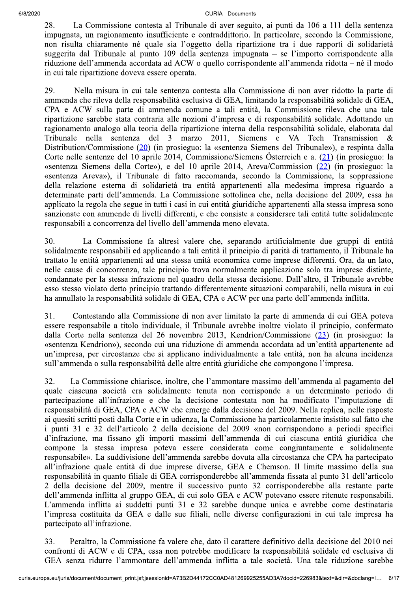#### $12020$ - Documents

28. La Commissione contesta al Tribunale di aver seguito, ai punti da 106 a 111 della sentenza impugnata, un ragionamento insufficiente e contraddittorio. In particolare, secondo la Commissione, non risulta chiaramente né quale sia l'oggetto della ripartizione tra i due rapporti di solidarietà suggerita dal Tribunale al punto 109 della sentenza impugnata – se l'importo corrispondente alla riduzione dell'ammenda accordata ad ACW o quello corrispondente all'ammenda ridotta – né il modo in cui tale ripartizione doveva essere operata.

29. Nella misura in cui tale sentenza contesta alla Commissione di non aver ridotto la parte di ammenda che rileva della responsabilità esclusiva di GEA, limitando la responsabilità solidale di GEA, CPA e ACW sulla parte di ammenda comune a tali entità, la Commissione rileva che una tale ripartizione sarebbe stata contraria alle nozioni d'impresa e di responsabilità solidale. Adottando un ragionamento analogo alla teoria della ripartizione interna della responsabilità solidale, elaborata dal<br>Tribunale nella sentenza del 3 marzo 2011. Siemens e VA Tech Transmission & Iribunale nella sentenza del 3 marzo 2011, Siemens e VA Iech Iransmission & Distribution/Commissione <u>(20</u>) (in prosieguo: la «sentenza Siemens del Tribunale»), e respinta dalla Corte nelle sentenze del 10 aprile 2014, Commissione/Siemens Österreich e a.  $(21)$  (in prosieguo: la «sentenza Siemens della Corte»), e del 10 aprile 2014, Areva/Commission (22) (in prosieguo: la «sentenza Areva»), il Tribunale di fatto raccomanda, secondo la Commissione, la soppressione della relazione esterna di solidarietà tra entità appartenenti alla medesima impresa riguardo a determinate parti dell'ammenda. La Commissione sottolinea che, nella decisione del 2009, essa ha applicato la regola che segue in tutti i casi in cui entità giuridiche appartenenti alla stessa impresa sono sanzionate con ammende di livelli differenti, e che consiste a considerare tali entità tutte solidalmente responsabili a concorrenza del livello dell'ammenda meno elevata.

30. La Commissione fa altresì valere che, separando artificialmente due gruppi di entità solidalmente responsabili ed applicando a tali entità il principio di parità di trattamento, il Tribunale ha trattato le entità appartenenti ad una stessa unità economica come imprese differenti. Ora, da un lato, nelle cause di concorrenza, tale principio trova normalmente applicazione solo tra imprese distinte, condannate per la stessa infrazione nel quadro della stessa decisione. Dall'altro, il Tribunale avrebbe esso stesso violato detto principio trattando differentemente situazioni comparabili, nella misura in cui ha annullato la responsabilità solidale di GEA, CPA e ACW per una parte dell'ammenda inflitta.

31. Contestando alla Commissione di non aver limitato la parte di ammenda di cui GEA poteva essere responsabile a titolo individuale, il Tribunale avrebbe inoltre violato il principio, confermato dalla Corte nella sentenza del 26 novembre 2013, Kendrion/Commissione (23) (in prosieguo: la «sentenza Kendrion»), secondo cui una riduzione di ammenda accordata ad un'entità appartenente ad un'impresa, per circostanze che si applicano individualmente a tale entità, non ha alcuna incidenza sull'ammenda o sulla responsabilità delle altre entità giuridiche che compongono l'impresa.

32. La Commissione chiarisce, inoltre, che l'ammontare massimo dell'ammenda al pagamento del quale ciascuna società era solidalmente tenuta non corrisponde a un determinato periodo di partecipazione all'infrazione e che la decisione contestata non ha modificato l'imputazione di responsabilità di GEA, CPA e ACW che emerge dalla decisione del 2009. Nella replica, nelle risposte ai quesiti scritti posti dalla Corte e in udienza, la Commissione ha particolarmente insistito sul fatto che i punti 31 e 32 dell'articolo 2 della decisione del 2009 «non corrispondono a periodi specifici d'infrazione, ma fissano gli importi massimi dell'ammenda di cui ciascuna entità giuridica che compone la stessa impresa poteva essere considerata come congiuntamente e solidalmente responsabile». La suddivisione dell'ammenda sarebbe dovuta alla circostanza che CPA ha partecipato all'infrazione quale entità di due imprese diverse, GEA e Chemson. Il limite massimo della sua responsabilità in quanto filiale di GEA corrisponderebbe all'ammenda fissata al punto 31 dell'articolo 2 della decisione del 2009, mentre il successivo punto 32 corrisponderebbe alla restante parte dell'ammenda inflitta al gruppo GEA, di cui solo GEA e ACW potevano essere ritenute responsabili. L'ammenda inflitta ai suddetti punti 31 e 32 sarebbe dunque unica e avrebbe come destinataria l'impresa costituita da GEA e dalle sue filiali, nelle diverse configurazioni in cui tale impresa ha partecipato all'infrazione.

il carattere definitivo della decisi<br>dificare la responsabilità solidale<br>flitta a tale società. Una tale ri<br>D481269925255AD3A?docid=226983&text=6 33. Peraltro, la Commissione fa valere che, dato il carattere definitivo della decisione del 2010 nei confronti di ACW e di CPA, essa non potrebbe modificare la responsabilità solidale ed esclusiva di GEA senza ridurre l'ammontare dell'ammenda inflitta a tale società. Una tale riduzione sarebbe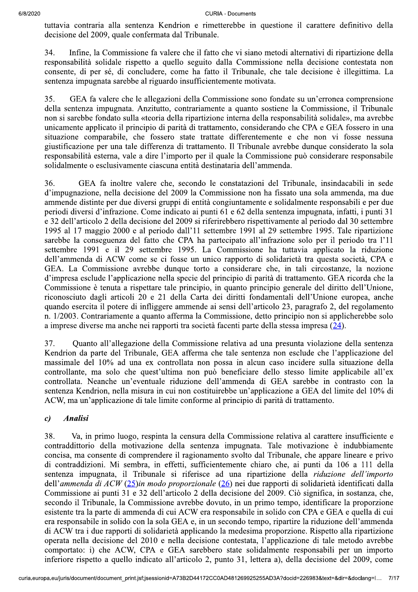tuttavia contraria alla sentenza Kendrion e rimetterebbe in questione il carattere definitivo della decisione del 2009, quale confermata dal Tribunale.

34. Infine, la Commissione fa valere che il fatto che vi siano metodi alternativi di ripartizione della responsabilità solidale rispetto a quello seguito dalla Commissione nella decisione contestata non consente, di per sé, di concludere, come ha fatto il Tribunale, che tale decisione è illegittima. La sentenza impugnata sarebbe al riguardo insufficientemente motivata.

35. GEA fa valere che le allegazioni della Commissione sono fondate su un'erronea comprensione della sentenza impugnata. Anzitutto, contrariamente a quanto sostiene la Commissione, il Tribunale non si sarebbe fondato sulla «teoria della ripartizione interna della responsabilità solidale», ma avrebbe unicamente applicato il principio di parità di trattamento, considerando che CPA e GEA fossero in una situazione comparabile, che fossero state trattate differentemente e che non vi fosse nessuna giustificazione per una tale differenza di trattamento. Il Tribunale avrebbe dunque considerato la sola responsabilità esterna, vale a dire l'importo per il quale la Commissione può considerare responsabile solidalmente o esclusivamente ciascuna entità destinataria dell'ammenda.

36. GEA fa inoltre valere che, secondo le constatazioni del Tribunale, insindacabili in sede d'impugnazione, nella decisione del 2009 la Commissione non ha fissato una sola ammenda, ma due ammende distinte per due diversi gruppi di entità congiuntamente e solidalmente responsabili e per due periodi diversi d'infrazione. Come indicato ai punti 61 e 62 della sentenza impugnata, infatti, i punti 31 e 32 dell'articolo 2 della decisione del 2009 si riferirebbero rispettivamente al periodo dal 30 settembre  $\overline{1995}$  al 17 maggio 2000 e al periodo dall'11 settembre 1991 al 29 settembre 1995. Tale ripartizione sarebbe la conseguenza del fatto che CPA ha partecipato all'infrazione solo per il periodo tra l'11 settembre 1991 e il 29 settembre 1995. La Commissione ha tuttavia applicato la riduzione dell'ammenda di ACW come se ci fosse un unico rapporto di solidarietà tra questa società, CPA e GEA. La Commissione avrebbe dunque torto a considerare che, in tali circostanze, la nozione d'impresa esclude l'applicazione nella specie del principio di parità di trattamento. GEA ricorda che la Commissione è tenuta a rispettare tale principio, in quanto principio generale del diritto dell'Unione, riconosciuto dagli articoli 20 e 21 della Carta dei diritti fondamentali dell'Unione europea, anche quando esercita il potere di infliggere ammende ai sensi dell'articolo 23, paragrafo 2, del regolamento n. 1/2003. Contrariamente a quanto afferma la Commissione, detto principio non si applicherebbe solo a imprese diverse ma anche nei rapporti tra società facenti parte della stessa impresa  $(24)$ .

37. Ouanto all'allegazione della Commissione relativa ad una presunta violazione della sentenza Kendrion da parte del Tribunale, GEA afferma che tale sentenza non esclude che l'applicazione del massimale del 10% ad una ex controllata non possa in alcun caso incidere sulla situazione della controllante, ma solo che quest'ultima non può beneficiare dello stesso limite applicabile all'ex controllata. Neanche un'eventuale riduzione dell'ammenda di GEA sarebbe in contrasto con la sentenza Kendrion, nella misura in cui non costituirebbe un'applicazione a GEA del limite del 10% di ACW, ma un'applicazione di tale limite conforme al principio di parità di trattamento.

# c) Analisi

a medesima proporzione. Rispetto<br>a medesima proporzione. Rispetto<br>contestata, l'applicazione di tale<br>state solidalmente responsabili<br>nto 31, lettera a), della decisione<br>D481269925255AD3A?docid=226983&text=6 38. Va, in primo luogo, respinta la censura della Commissione relativa al carattere insufficiente e contraddittorio della motivazione della sentenza impugnata. Tale motivazione è indubbiamente  $\overline{3}$ concisa, ma consente di comprendere il ragionamento svolto dal Tribunale, che appare lineare e privo di contraddizioni. Mi sembra, in effetti, sufficientemente chiaro che, ai punti da 106 a 111 della sentenza impugnata, il Tribunale si riferisce ad una ripartizione della *riduzione dell'importo* dell'ammenda di  $ACW$  (25)in modo proporzionale (26) nei due rapporti di solidarietà identificati dalla Commissione ai punti 31 e 32 dell'articolo 2 della decisione del 2009. Ciò significa, in sostanza, che, secondo il Tribunale, la Commissione avrebbe dovuto, in un primo tempo, identificare la proporzione esistente tra la parte di ammenda di cui ACW era responsabile in solido con CPA e GEA e quella di cui era responsabile in solido con la sola GEA e, in un secondo tempo, ripartire la riduzione dell'ammenda di ACW tra i due rapporti di solidarietà applicando la medesima proporzione. Rispetto alla ripartizione operata nella decisione del 2010 e nella decisione contestata, l'applicazione di tale metodo avrebbe comportato: i) che ACW, CPA e GEA sarebbero state solidalmente responsabili per un importo inferiore rispetto a quello indicato all'articolo 2, punto 31, lettera a), della decisione del 2009, come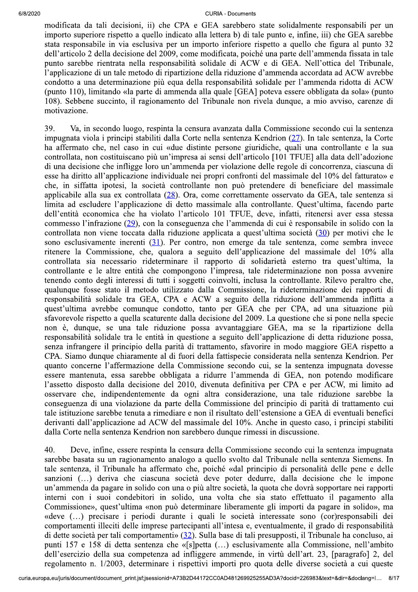#### $12020$ - Documents

modificata da tali decisioni, ii) che CPA e GEA sarebbero state solidalmente responsabili per un importo superiore rispetto a quello indicato alla lettera b) di tale punto e, infine, iii) che GEA sarebbe stata responsabile in via esclusiva per un importo inferiore rispetto a quello che figura al punto 32 dell'articolo 2 della decisione del 2009, come modificata, poiché una parte dell'ammenda fissata in tale punto sarebbe rientrata nella responsabilità solidale di ACW e di GEA. Nell'ottica del Tribunale, l'applicazione di un tale metodo di ripartizione della riduzione d'ammenda accordata ad ACW avrebbe condotto a una determinazione più equa della responsabilità solidale per l'ammenda ridotta di ACW (punto 110), limitando «la parte di ammenda alla quale [GEA] poteva essere obbligata da sola» (punto 108). Sebbene succinto, il ragionamento del Tribunale non rivela dunque, a mio avviso, carenze di motivazione.

39. Va, in secondo luogo, respinta la censura avanzata dalla Commissione secondo cui la sentenza impugnata viola i principi stabiliti dalla Corte nella sentenza Kendrion  $(27)$ . In tale sentenza, la Corte ha affermato che, nel caso in cui «due distinte persone giuridiche, quali una controllante e la sua controllata, non costituiscano più un'impresa ai sensi dell'articolo [101 TFUE] alla data dell'adozione di una decisione che infligge loro un'ammenda per violazione delle regole di concorrenza, ciascuna di esse ha diritto all'applicazione individuale nei propri confronti del massimale del 10% del fatturato» e che, in siffatta ipotesi, la società controllante non può pretendere di beneficiare del massimale applicabile alla sua ex controllata  $(28)$ . Ora, come correttamente osservato da GEA, tale sentenza si limita ad escludere l'applicazione di detto massimale alla controllante. Quest'ultima, facendo parte dell'entità economica che ha violato l'articolo 101 TFUE, deve, infatti, ritenersi aver essa stessa commesso l'infrazione (29), con la conseguenza che l'ammenda di cui è responsabile in solido con la controllata non viene toccata dalla riduzione applicata a quest'ultima società (30) per motivi che le sono esclusivamente inerenti  $(31)$ . Per contro, non emerge da tale sentenza, come sembra invece ritenere la Commissione, che, qualora a seguito dell'applicazione del massimale del 10% alla controllata sia necessario rideterminare il rapporto di solidarietà esterno tra quest'ultima, la controllante e le altre entità che compongono l'impresa, tale rideterminazione non possa avvenire tenendo conto degli interessi di tutti i soggetti coinvolti, inclusa la controllante. Rilevo peraltro che, qualunque fosse stato il metodo utilizzato dalla Commissione, la rideterminazione dei rapporti di responsabilità solidale tra GEA, CPA e ACW a seguito della riduzione dell'ammenda inflitta a quest'ultima avrebbe comunque condotto, tanto per GEA che per CPA, ad una situazione più sfavorevole rispetto a quella scaturente dalla decisione del 2009. La questione che si pone nella specie non è, dunque, se una tale riduzione possa avvantaggiare GEA, ma se la ripartizione della responsabilità solidale tra le entità in questione a seguito dell'applicazione di detta riduzione possa, senza infrangere il principio della parità di trattamento, sfavorire in modo maggiore GEA rispetto a CPA. Siamo dunque chiaramente al di fuori della fattispecie considerata nella sentenza Kendrion. Per quanto concerne l'affermazione della Commissione secondo cui, se la sentenza impugnata dovesse essere mantenuta, essa sarebbe obbligata a ridurre l'ammenda di GEA, non potendo modificare l'assetto disposto dalla decisione del 2010, divenuta definitiva per CPA e per ACW, mi limito ad osservare che, indipendentemente da ogni altra considerazione, una tale riduzione sarebbe la conseguenza di una violazione da parte della Commissione del principio di parità di trattamento cui tale istituzione sarebbe tenuta a rimediare e non il risultato dell'estensione a GEA di eventuali benefici derivanti dall'applicazione ad ACW del massimale del 10%. Anche in questo caso, i principi stabiliti dalla Corte nella sentenza Kendrion non sarebbero dunque rimessi in discussione.

ntesa e, eventualmente, 11 grado<br>ase di tali presupposti, il Tribunal<br>.) esclusivamente alla Commissi<br>mmende, in virtù dell'art. 23, [µ<br>orti pro quota delle diverse soci<br>D481269925255AD3A?docid=226983&text=8 40. Deve, infine, essere respinta la censura della Commissione secondo cui la sentenza impugnata sarebbe basata su un ragionamento analogo a quello svolto dal Tribunale nella sentenza Siemens. In tale sentenza, il Tribunale ha affermato che, poiché «dal principio di personalità delle pene e delle sanzioni (...) deriva che ciascuna società deve poter dedurre, dalla decisione che le impone un'ammenda da pagare in solido con una o più altre società, la quota che dovrà sopportare nei rapporti interni con i suoi condebitori in solido, una volta che sia stato effettuato il pagamento alla Commissione», quest'ultima «non può determinare liberamente gli importi da pagare in solido», ma «deve (...) precisare i periodi durante i quali le società interessate sono (cor)responsabili dei comportamenti illeciti delle imprese partecipanti all'intesa e, eventualmente, il grado di responsabilità di dette società per tali comportamenti» (32). Sulla base di tali presupposti, il Tribunale ha concluso, ai punti 157 e 158 di detta sentenza che «[s]petta (...) esclusivamente alla Commissione, nell'ambito dell'esercizio della sua competenza ad infliggere ammende, in virtù dell'art. 23, [paragrafo] 2, del regolamento n. 1/2003, determinare i rispettivi importi pro quota delle diverse società a cui queste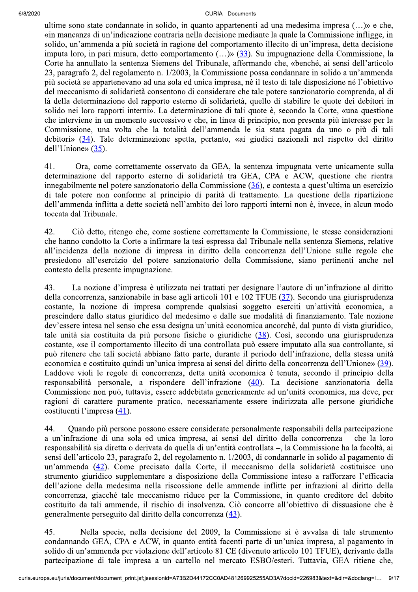#### $12020$ - Documents

ultime sono state condannate in solido, in quanto appartenenti ad una medesima impresa  $(...)$ » e che, «in mancanza di un'indicazione contraria nella decisione mediante la quale la Commissione infligge, in solido, un'ammenda a più società in ragione del comportamento illecito di un'impresa, detta decisione imputa loro, in pari misura, detto comportamento  $(...)$  (33). Su impugnazione della Commissione, la Corte ha annullato la sentenza Siemens del Tribunale, affermando che, «benché, ai sensi dell'articolo 23, paragrafo 2, del regolamento n. 1/2003, la Commissione possa condannare in solido a un'ammenda più società se appartenevano ad una sola ed unica impresa, né il testo di tale disposizione né l'obiettivo del meccanismo di solidarietà consentono di considerare che tale potere sanzionatorio comprenda, al di là della determinazione del rapporto esterno di solidarietà, quello di stabilire le quote dei debitori in solido nei loro rapporti interni». La determinazione di tali quote è, secondo la Corte, «una questione che interviene in un momento successivo e che, in linea di principio, non presenta più interesse per la Commissione, una volta che la totalità dell'ammenda le sia stata pagata da uno o più di tali debitori» (34). Tale determinazione spetta, pertanto, «ai giudici nazionali nel rispetto del diritto dell'Unione»  $(35)$ .

41. Ora, come correttamente osservato da GEA, la sentenza impugnata verte unicamente sulla determinazione del rapporto esterno di solidarietà tra GEA, CPA e ACW, questione che rientra innegabilmente nel potere sanzionatorio della Commissione  $(36)$ , e contesta a quest'ultima un esercizio di tale potere non conforme al principio di parità di trattamento. La questione della ripartizione dell'ammenda inflitta a dette società nell'ambito dei loro rapporti interni non è, invece, in alcun modo toccata dal Tribunale.

42. Ciò detto, ritengo che, come sostiene correttamente la Commissione, le stesse considerazioni che hanno condotto la Corte a infirmare la tesi espressa dal Tribunale nella sentenza Siemens, relative all'incidenza della nozione di impresa in diritto della concorrenza dell'Unione sulle regole che presiedono all'esercizio del potere sanzionatorio della Commissione, siano pertinenti anche nel contesto della presente impugnazione.

43. La nozione d'impresa è utilizzata nei trattati per designare l'autore di un'infrazione al diritto della concorrenza, sanzionabile in base agli articoli 101 e 102 TFUE  $(37)$ . Secondo una giurisprudenza costante, la nozione di impresa comprende qualsiasi soggetto eserciti un'attività economica, a prescindere dallo status giuridico del medesimo e dalle sue modalità di finanziamento. Tale nozione dev'essere intesa nel senso che essa designa un'unità economica ancorché, dal punto di vista giuridico, tale unità sia costituita da più persone fisiche o giuridiche  $(38)$ . Così, secondo una giurisprudenza  $\cos$ tante, «se il comportamento illecito di una controllata può essere imputato alla sua controllante, si può ritenere che tali società abbiano fatto parte, durante il periodo dell'infrazione, della stessa unità economica e costituito quindi un'unica impresa ai sensi del diritto della concorrenza dell'Unione» (39). Laddove violi le regole di concorrenza, detta unità economica è tenuta, secondo il principio della responsabilità personale, a rispondere dell'infrazione (40). La decisione sanzionatoria della Commissione non può, tuttavia, essere addebitata genericamente ad un'unità economica, ma deve, per ragioni di carattere puramente pratico, necessariamente essere indirizzata alle persone giuridiche costituenti l'impresa  $(41)$ .

<sup>44</sup>. Ouando più persone possono essere considerate personalmente responsabili della partecipazione a un'infrazione di una sola ed unica impresa, ai sensi del diritto della concorrenza – che la loro responsabilità sia diretta o derivata da quella di un'entità controllata –, la Commissione ha la facoltà, ai sensi dell'articolo 23, paragrafo 2, del regolamento n. 1/2003, di condannarle in solido al pagamento di un'ammenda (42). Come precisato dalla Corte, il meccanismo della solidarietà costituisce uno strumento giuridico supplementare a disposizione della Commissione inteso a rafforzare l'efficacia dell'azione della medesima nella riscossione delle ammende inflitte per infrazioni al diritto della concorrenza, giacché tale meccanismo riduce per la Commissione, in quanto creditore del debito  $\alpha$ eostituito da tali ammende, il rischio di insolvenza. Ciò concorre all'obiettivo di dissuasione che è generalmente perseguito dal diritto della concorrenza (43).

la Commissione si è avvalsa d<br>acenti parte di un'unica impresa,<br>CE (divenuto articolo 101 TFUE<br>nercato ESBO/esteri. Tuttavia, C<br>D481269925255AD3A?docid=226983&text=6 45. Nella specie, nella decisione del 2009, la Commissione si è avvalsa di tale strumento condannando GEA, CPA e ACW, in quanto entità facenti parte di un'unica impresa, al pagamento in solido di un'ammenda per violazione dell'articolo 81 CE (divenuto articolo 101 TFUE), derivante dalla partecipazione di tale impresa a un cartello nel mercato ESBO/esteri. Tuttavia, GEA ritiene che,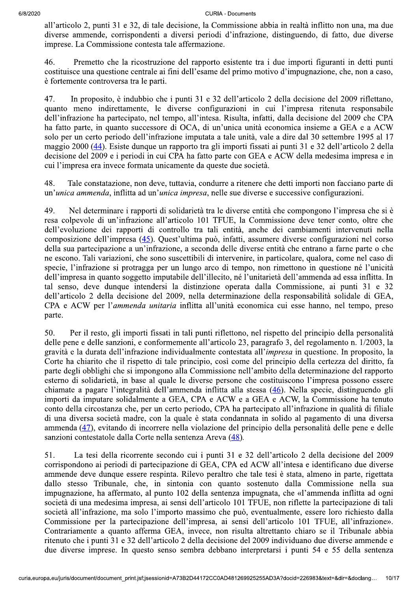**CURIA - Documents** 

all'articolo 2, punti 31 e 32, di tale decisione, la Commissione abbia in realtà inflitto non una, ma due diverse ammende, corrispondenti a diversi periodi d'infrazione, distinguendo, di fatto, due diverse imprese. La Commissione contesta tale affermazione.

46. Premetto che la ricostruzione del rapporto esistente tra i due importi figuranti in detti punti costituisce una questione centrale ai fini dell'esame del primo motivo d'impugnazione, che, non a caso, è fortemente controversa tra le parti.

47. In proposito, è indubbio che i punti 31 e 32 dell'articolo 2 della decisione del 2009 riflettano, quanto meno indirettamente, le diverse configurazioni in cui l'impresa ritenuta responsabile dell'infrazione ha partecipato, nel tempo, all'intesa. Risulta, infatti, dalla decisione del 2009 che CPA ha fatto parte, in quanto successore di OCA, di un'unica unità economica insieme a GEA e a ACW solo per un certo periodo dell'infrazione imputata a tale unità, vale a dire dal 30 settembre 1995 al 17 maggio 2000 (44). Esiste dunque un rapporto tra gli importi fissati ai punti 31 e 32 dell'articolo 2 della decisione del 2009 e i periodi in cui CPA ha fatto parte con GEA e ACW della medesima impresa e in cui l'impresa era invece formata unicamente da queste due società.

48. Tale constatazione, non deve, tuttavia, condurre a ritenere che detti importi non facciano parte di un'unica ammenda, inflitta ad un'unica impresa, nelle sue diverse e successive configurazioni.

49. Nel determinare i rapporti di solidarietà tra le diverse entità che compongono l'impresa che si è resa colpevole di un'infrazione all'articolo 101 TFUE, la Commissione deve tener conto, oltre che dell'evoluzione dei rapporti di controllo tra tali entità, anche dei cambiamenti intervenuti nella composizione dell'impresa (45). Quest'ultima può, infatti, assumere diverse configurazioni nel corso della sua partecipazione a un'infrazione, a seconda delle diverse entità che entrano a farne parte o che ne escono. Tali variazioni, che sono suscettibili di intervenire, in particolare, qualora, come nel caso di specie, l'infrazione si protragga per un lungo arco di tempo, non rimettono in questione né l'unicità dell'impresa in quanto soggetto imputabile dell'illecito, né l'unitarietà dell'ammenda ad essa inflitta. In tal senso, deve dunque intendersi la distinzione operata dalla Commissione, ai punti 31 e 32 dell'articolo 2 della decisione del 2009, nella determinazione della responsabilità solidale di GEA, CPA e ACW per l'ammenda unitaria inflitta all'unità economica cui esse hanno, nel tempo, preso parte.

Per il resto, gli importi fissati in tali punti riflettono, nel rispetto del principio della personalità 50. delle pene e delle sanzioni, e conformemente all'articolo 23, paragrafo 3, del regolamento n. 1/2003, la gravità e la durata dell'infrazione individualmente contestata all'impresa in questione. In proposito, la Corte ha chiarito che il rispetto di tale principio, così come del principio della certezza del diritto, fa parte degli obblighi che si impongono alla Commissione nell'ambito della determinazione del rapporto esterno di solidarietà, in base al quale le diverse persone che costituiscono l'impresa possono essere chiamate a pagare l'integralità dell'ammenda inflitta alla stessa (46). Nella specie, distinguendo gli importi da imputare solidalmente a GEA, CPA e ACW e a GEA e ACW, la Commissione ha tenuto conto della circostanza che, per un certo periodo, CPA ha partecipato all'infrazione in qualità di filiale di una diversa società madre, con la quale è stata condannata in solido al pagamento di una diversa ammenda (47), evitando di incorrere nella violazione del principio della personalità delle pene e delle sanzioni contestatole dalla Corte nella sentenza Areva (48).

La tesi della ricorrente secondo cui i punti 31 e 32 dell'articolo 2 della decisione del 2009 51. corrispondono ai periodi di partecipazione di GEA, CPA ed ACW all'intesa e identificano due diverse ammende deve dunque essere respinta. Rilevo peraltro che tale tesi è stata, almeno in parte, rigettata dallo stesso Tribunale, che, in sintonia con quanto sostenuto dalla Commissione nella sua impugnazione, ha affermato, al punto 102 della sentenza impugnata, che «l'ammenda inflitta ad ogni società di una medesima impresa, ai sensi dell'articolo 101 TFUE, non riflette la partecipazione di tali società all'infrazione, ma solo l'importo massimo che può, eventualmente, essere loro richiesto dalla Commissione per la partecipazione dell'impresa, ai sensi dell'articolo 101 TFUE, all'infrazione». Contrariamente a quanto afferma GEA, invece, non risulta altrettanto chiaro se il Tribunale abbia ritenuto che i punti 31 e 32 dell'articolo 2 della decisione del 2009 individuano due diverse ammende e due diverse imprese. In questo senso sembra debbano interpretarsi i punti 54 e 55 della sentenza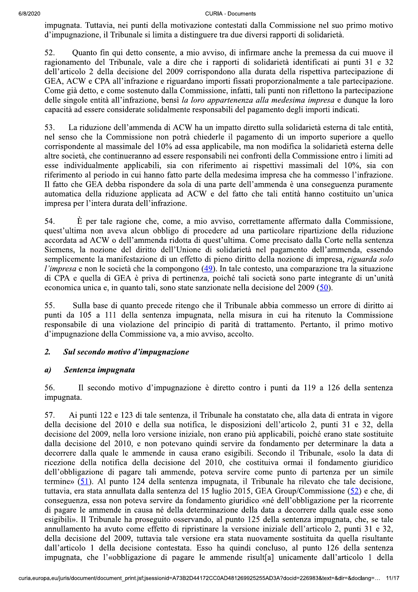impugnata. Tuttavia, nei punti della motivazione contestati dalla Commissione nel suo primo motivo d'impugnazione, il Tribunale si limita a distinguere tra due diversi rapporti di solidarietà.

52. Quanto fin qui detto consente, a mio avviso, di infirmare anche la premessa da cui muove il ragionamento del Tribunale, vale a dire che i rapporti di solidarietà identificati ai punti 31 e 32 dell'articolo 2 della decisione del 2009 corrispondono alla durata della rispettiva partecipazione di GEA, ACW e CPA all'infrazione e riguardano importi fissati proporzionalmente a tale partecipazione. Come già detto, e come sostenuto dalla Commissione, infatti, tali punti non riflettono la partecipazione delle singole entità all'infrazione, bensì la loro appartenenza alla medesima impresa e dunque la loro capacità ad essere considerate solidalmente responsabili del pagamento degli importi indicati.

53. La riduzione dell'ammenda di ACW ha un impatto diretto sulla solidarietà esterna di tale entità, nel senso che la Commissione non potrà chiederle il pagamento di un importo superiore a quello corrispondente al massimale del 10% ad essa applicabile, ma non modifica la solidarietà esterna delle altre società, che continueranno ad essere responsabili nei confronti della Commissione entro i limiti ad esse individualmente applicabili, sia con riferimento ai rispettivi massimali del 10%, sia con riferimento al periodo in cui hanno fatto parte della medesima impresa che ha commesso l'infrazione. Il fatto che GEA debba rispondere da sola di una parte dell'ammenda è una conseguenza puramente automatica della riduzione applicata ad ACW e del fatto che tali entità hanno costituito un'unica impresa per l'intera durata dell'infrazione.

54.  $\dot{E}$  per tale ragione che, come, a mio avviso, correttamente affermato dalla Commissione, quest'ultima non aveva alcun obbligo di procedere ad una particolare ripartizione della riduzione accordata ad ACW o dell'ammenda ridotta di quest'ultima. Come precisato dalla Corte nella sentenza Siemens, la nozione del diritto dell'Unione di solidarietà nel pagamento dell'ammenda, essendo semplicemente la manifestazione di un effetto di pieno diritto della nozione di impresa, riguarda solo l'impresa e non le società che la compongono (49). In tale contesto, una comparazione tra la situazione di CPA e quella di GEA è priva di pertinenza, poiché tali società sono parte integrante di un'unità economica unica e, in quanto tali, sono state sanzionate nella decisione del 2009 (50).

55. Sulla base di quanto precede ritengo che il Tribunale abbia commesso un errore di diritto ai punti da 105 a 111 della sentenza impugnata, nella misura in cui ha ritenuto la Commissione responsabile di una violazione del principio di parità di trattamento. Pertanto, il primo motivo d'impugnazione della Commissione va, a mio avviso, accolto.

## $\overline{2}$ . Sul secondo motivo d'impugnazione

### $\boldsymbol{a}$ Sentenza impugnata

56. Il secondo motivo d'impugnazione è diretto contro i punti da 119 a 126 della sentenza impugnata.

57. Ai punti 122 e 123 di tale sentenza, il Tribunale ha constatato che, alla data di entrata in vigore della decisione del 2010 e della sua notifica, le disposizioni dell'articolo 2, punti 31 e 32, della decisione del 2009, nella loro versione iniziale, non erano più applicabili, poiché erano state sostituite dalla decisione del 2010, e non potevano quindi servire da fondamento per determinare la data a decorrere dalla quale le ammende in causa erano esigibili. Secondo il Tribunale, «solo la data di ricezione della notifica della decisione del 2010, che costituiva ormai il fondamento giuridico dell'obbligazione di pagare tali ammende, poteva servire come punto di partenza per un simile termine» (51). Al punto 124 della sentenza impugnata, il Tribunale ha rilevato che tale decisione, tuttavia, era stata annullata dalla sentenza del 15 luglio 2015, GEA Group/Commissione (52) e che, di conseguenza, essa non poteva servire da fondamento giuridico «né dell'obbligazione per la ricorrente di pagare le ammende in causa né della determinazione della data a decorrere dalla quale esse sono esigibili». Il Tribunale ha proseguito osservando, al punto 125 della sentenza impugnata, che, se tale annullamento ha avuto come effetto di ripristinare la versione iniziale dell'articolo 2, punti 31 e 32, della decisione del 2009, tuttavia tale versione era stata nuovamente sostituita da quella risultante dall'articolo 1 della decisione contestata. Esso ha quindi concluso, al punto 126 della sentenza impugnata, che l'«obbligazione di pagare le ammende risult[a] unicamente dall'articolo 1 della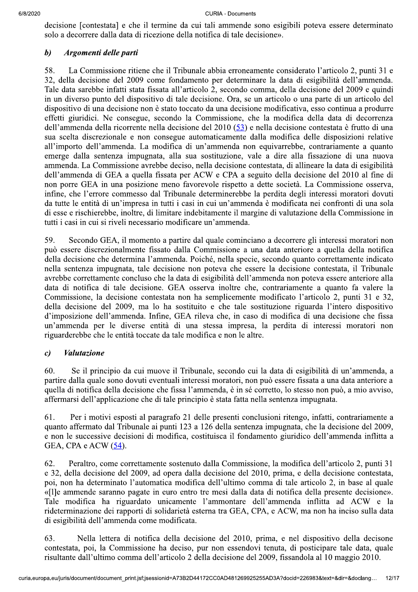decisione [contestata] e che il termine da cui tali ammende sono esigibili poteva essere determinato solo a decorrere dalla data di ricezione della notifica di tale decisione».

## $\boldsymbol{b}$ Argomenti delle parti

58. La Commissione ritiene che il Tribunale abbia erroneamente considerato l'articolo 2, punti 31 e 32, della decisione del 2009 come fondamento per determinare la data di esigibilità dell'ammenda. Tale data sarebbe infatti stata fissata all'articolo 2, secondo comma, della decisione del 2009 e quindi in un diverso punto del dispositivo di tale decisione. Ora, se un articolo o una parte di un articolo del dispositivo di una decisione non è stato toccato da una decisione modificativa, esso continua a produrre effetti giuridici. Ne consegue, secondo la Commissione, che la modifica della data di decorrenza dell'ammenda della ricorrente nella decisione del 2010 (53) e nella decisione contestata è frutto di una sua scelta discrezionale e non consegue automaticamente dalla modifica delle disposizioni relative all'importo dell'ammenda. La modifica di un'ammenda non equivarrebbe, contrariamente a quanto emerge dalla sentenza impugnata, alla sua sostituzione, vale a dire alla fissazione di una nuova ammenda. La Commissione avrebbe deciso, nella decisione contestata, di allineare la data di esigibilità dell'ammenda di GEA a quella fissata per ACW e CPA a seguito della decisione del 2010 al fine di non porre GEA in una posizione meno favorevole rispetto a dette società. La Commissione osserva, infine, che l'errore commesso dal Tribunale determinerebbe la perdita degli interessi moratori dovuti da tutte le entità di un'impresa in tutti i casi in cui un'ammenda è modificata nei confronti di una sola di esse e rischierebbe, inoltre, di limitare indebitamente il margine di valutazione della Commissione in tutti i casi in cui si riveli necessario modificare un'ammenda.

59. Secondo GEA, il momento a partire dal quale cominciano a decorrere gli interessi moratori non può essere discrezionalmente fissato dalla Commissione a una data anteriore a quella della notifica della decisione che determina l'ammenda. Poiché, nella specie, secondo quanto correttamente indicato nella sentenza impugnata, tale decisione non poteva che essere la decisione contestata, il Tribunale avrebbe correttamente concluso che la data di esigibilità dell'ammenda non poteva essere anteriore alla data di notifica di tale decisione. GEA osserva inoltre che, contrariamente a quanto fa valere la Commissione, la decisione contestata non ha semplicemente modificato l'articolo 2, punti 31 e 32, della decisione del 2009, ma lo ha sostituito e che tale sostituzione riguarda l'intero dispositivo d'imposizione dell'ammenda. Infine, GEA rileva che, in caso di modifica di una decisione che fissa un'ammenda per le diverse entità di una stessa impresa, la perdita di interessi moratori non riguarderebbe che le entità toccate da tale modifica e non le altre.

## $\mathfrak{c}$ **Valutazione**

60. Se il principio da cui muove il Tribunale, secondo cui la data di esigibilità di un'ammenda, a partire dalla quale sono dovuti eventuali interessi moratori, non può essere fissata a una data anteriore a quella di notifica della decisione che fissa l'ammenda, è in sé corretto, lo stesso non può, a mio avviso, affermarsi dell'applicazione che di tale principio è stata fatta nella sentenza impugnata.

61. Per i motivi esposti al paragrafo 21 delle presenti conclusioni ritengo, infatti, contrariamente a quanto affermato dal Tribunale ai punti 123 a 126 della sentenza impugnata, che la decisione del 2009, e non le successive decisioni di modifica, costituisca il fondamento giuridico dell'ammenda inflitta a GEA, CPA e ACW (54).

62. Peraltro, come correttamente sostenuto dalla Commissione, la modifica dell'articolo 2, punti 31 e 32, della decisione del 2009, ad opera dalla decisione del 2010, prima, e della decisione contestata, poi, non ha determinato l'automatica modifica dell'ultimo comma di tale articolo 2, in base al quale «[1] e ammende saranno pagate in euro entro tre mesi dalla data di notifica della presente decisione». Tale modifica ha riguardato unicamente l'ammontare dell'ammenda inflitta ad ACW e la rideterminazione dei rapporti di solidarietà esterna tra GEA, CPA, e ACW, ma non ha inciso sulla data di esigibilità dell'ammenda come modificata.

63. Nella lettera di notifica della decisione del 2010, prima, e nel dispositivo della decisone contestata, poi, la Commissione ha deciso, pur non essendovi tenuta, di posticipare tale data, quale risultante dall'ultimo comma dell'articolo 2 della decisione del 2009, fissandola al 10 maggio 2010.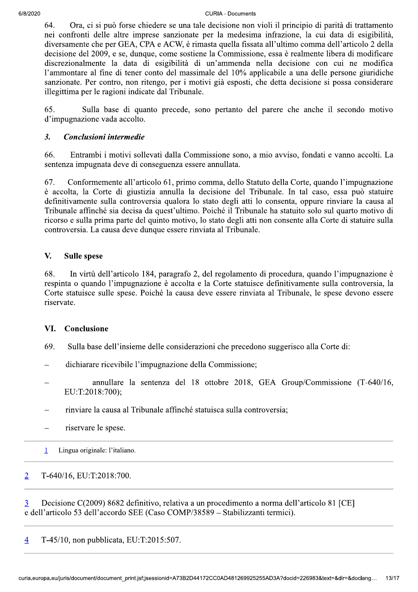64. Ora, ci si può forse chiedere se una tale decisione non violi il principio di parità di trattamento nei confronti delle altre imprese sanzionate per la medesima infrazione, la cui data di esigibilità, diversamente che per GEA, CPA e ACW, è rimasta quella fissata all'ultimo comma dell'articolo 2 della decisione del 2009, e se, dunque, come sostiene la Commissione, essa è realmente libera di modificare discrezionalmente la data di esigibilità di un'ammenda nella decisione con cui ne modifica l'ammontare al fine di tener conto del massimale del 10% applicabile a una delle persone giuridiche sanzionate. Per contro, non ritengo, per i motivi già esposti, che detta decisione si possa considerare illegittima per le ragioni indicate dal Tribunale.

65. Sulla base di quanto precede, sono pertanto del parere che anche il secondo motivo d'impugnazione vada accolto.

# 3. Conclusioni intermedie

66. Entrambi i motivi sollevati dalla Commissione sono, a mio avviso, fondati e vanno accolti. La sentenza impugnata deve di conseguenza essere annullata.

67. Conformemente all'articolo 61, primo comma, dello Statuto della Corte, quando l'impugnazione è accolta, la Corte di giustizia annulla la decisione del Tribunale. In tal caso, essa può statuire definitivamente sulla controversia qualora lo stato degli atti lo consenta, oppure rinviare la causa al Tribunale affinché sia decisa da quest'ultimo. Poiché il Tribunale ha statuito solo sul quarto motivo di ricorso e sulla prima parte del quinto motivo, lo stato degli atti non consente alla Corte di statuire sulla controversia. La causa deve dunque essere rinviata al Tribunale.

# V. Sulle spese

 $68.$  In virtù dell'articolo 184, paragrafo 2, del regolamento di procedura, quando l'impugnazione è respinta o quando l'impugnazione è accolta e la Corte statuisce definitivamente sulla controversia, la Corte statuisce sulle spese. Poiché la causa deve essere rinviata al Tribunale, le spese devono essere riservate.

# VI. Conclusione

- 69. Sulla base dell'insieme delle considerazioni che precedono suggerisco alla Corte di:
- dichiarare ricevibile l'impugnazione della Commissione;
- annullare la sentenza del 18 ottobre 2018, GEA Group/Commissione (T-640/16, EU:T:2018:700);
- rinviare la causa al Tribunale affinché statuisca sulla controversia;
- riservare le spese.
- 1 Lingua originale: l'italiano.

# 2 T-640/16, EU:T:2018:700.

 $\overline{3}$  Decisione C(2009) 8682 definitivo, relativa a un procedimento a norma dell'articolo 81 [CE] e dell'articolo 53 dell'accordo SEE (Caso COMP/38589 – Stabilizzanti termici).

 $\overline{4}$  T-45/10, non pubblicata, EU:T:2015:507.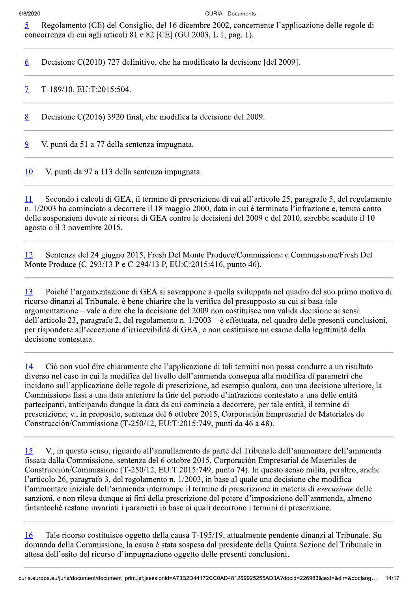5 Regolamento (CE) del Consiglio, del 16 dicembre 2002, concernente l'applicazione delle regole di concorrenza di cui agli articoli 81 e 82 [CE] (GU 2003, L 1, pag. 1).

6 Decisione C(2010) 727 definitivo, che ha modificato la decisione [del 2009].

7 T-189/10, EU:T:2015:504.

R. Decisione C(2016) 3920 final, che modifica la decisione del 2009.

9. V. punti da 51 a 77 della sentenza impugnata.

10 V. punti da 97 a 113 della sentenza impugnata.

11 Secondo i calcoli di GEA, il termine di prescrizione di cui all'articolo 25, paragrafo 5, del regolamento n. 1/2003 ha cominciato a decorrere il 18 maggio 2000, data in cui è terminata l'infrazione e, tenuto conto delle sospensioni dovute ai ricorsi di GEA contro le decisioni del 2009 e del 2010, sarebbe scaduto il 10 agosto o il 3 novembre 2015.

12 Sentenza del 24 giugno 2015, Fresh Del Monte Produce/Commissione e Commissione/Fresh Del Monte Produce (C-293/13 P e C-294/13 P, EU:C:2015:416, punto 46).

13 Poiché l'argomentazione di GEA si sovrappone a quella sviluppata nel quadro del suo primo motivo di ricorso dinanzi al Tribunale, è bene chiarire che la verifica del presupposto su cui si basa tale argomentazione – vale a dire che la decisione del 2009 non costituisce una valida decisione ai sensi dell'articolo 23, paragrafo 2, del regolamento n.  $1/2003 - e$  effettuata, nel quadro delle presenti conclusioni, per rispondere all'eccezione d'irricevibilità di GEA, e non costituisce un esame della legittimità della decisione contestata.

14 Ciò non vuol dire chiaramente che l'applicazione di tali termini non possa condurre a un risultato diverso nel caso in cui la modifica del livello dell'ammenda consegua alla modifica di parametri che incidono sull'applicazione delle regole di prescrizione, ad esempio qualora, con una decisione ulteriore, la Commissione fissi a una data anteriore la fine del periodo d'infrazione contestato a una delle entità partecipanti, anticipando dunque la data da cui comincia a decorrere, per tale entità, il termine di prescrizione: v., in proposito, sentenza del 6 ottobre 2015. Corporación Empresarial de Materiales de Construcción/Commissione (T-250/12, EU:T:2015:749, punti da 46 a 48).

15. V., in questo senso, riguardo all'annullamento da parte del Tribunale dell'ammontare dell'ammenda fissata dalla Commissione, sentenza del 6 ottobre 2015, Corporación Empresarial de Materiales de Construcción/Commissione (T-250/12, EU:T:2015:749, punto 74). In questo senso milita, peraltro, anche l'articolo 26, paragrafo 3, del regolamento n. 1/2003, in base al quale una decisione che modifica l'ammontare iniziale dell'ammenda interrompe il termine di prescrizione in materia di *esecuzione* delle sanzioni, e non rileva dunque ai fini della prescrizione del potere d'imposizione dell'ammenda, almeno fintantoché restano invariati i parametri in base ai quali decorrono i termini di prescrizione.

A attualmente pendente dinanzi al<br>
residente della Quinta Sezione de<br>
resenti conclusioni.<br>
D481269925255AD3A?docid=226983&text=8 16 Tale ricorso costituisce oggetto della causa T-195/19, attualmente pendente dinanzi al Tribunale. Su domanda della Commissione, la causa è stata sospesa dal presidente della Quinta Sezione del Tribunale in attesa dell'esito del ricorso d'impugnazione oggetto delle presenti conclusioni.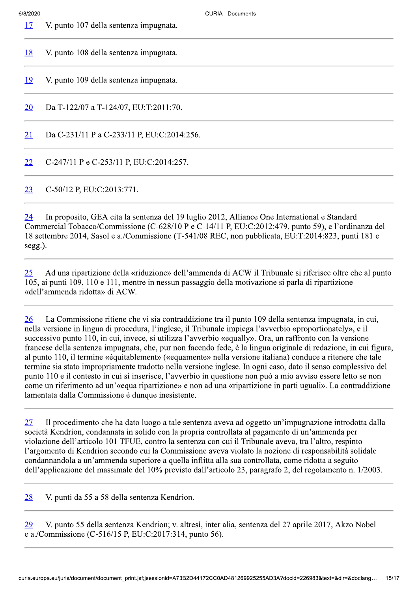V. punto 107 della sentenza impugnata.

| <u>18</u> | V. punto 108 della sentenza impugnata.                                                         |
|-----------|------------------------------------------------------------------------------------------------|
| <u>19</u> | V. punto 109 della sentenza impugnata.                                                         |
| 20        | Da T-122/07 a T-124/07, EU:T:2011:70.                                                          |
| <u>21</u> | Da C-231/11 P a C-233/11 P, EU:C:2014:256.                                                     |
| 22        | C-247/11 P e C-253/11 P, EU:C:2014:257.                                                        |
| 23        | C-50/12 P, EU:C:2013:771.                                                                      |
|           | 24 In proposite GEA cita le sontenze del 10 luglio 2012, Alliance One International e Standard |

In proposito, GEA cita la sentenza del 19 luglio 2012, Alliance One International e Standard Commercial Tobacco/Commissione (C-628/10 P e C-14/11 P, EU:C:2012:479, punto 59), e l'ordinanza del 18 settembre 2014, Sasol e a./Commissione (T-541/08 REC, non pubblicata, EU:T:2014:823, punti 181 e  $segg.$ ).

Ad una ripartizione della «riduzione» dell'ammenda di ACW il Tribunale si riferisce oltre che al punto  $25$ 105, ai punti 109, 110 e 111, mentre in nessun passaggio della motivazione si parla di ripartizione «dell'ammenda ridotta» di ACW.

26 La Commissione ritiene che vi sia contraddizione tra il punto 109 della sentenza impugnata, in cui, nella versione in lingua di procedura, l'inglese, il Tribunale impiega l'avverbio «proportionately», e il successivo punto 110, in cui, invece, si utilizza l'avverbio «equally». Ora, un raffronto con la versione francese della sentenza impugnata, che, pur non facendo fede, è la lingua originale di redazione, in cui figura, al punto 110, il termine «équitablement» («equamente» nella versione italiana) conduce a ritenere che tale termine sia stato impropriamente tradotto nella versione inglese. In ogni caso, dato il senso complessivo del punto 110 e il contesto in cui si inserisce, l'avverbio in questione non può a mio avviso essere letto se non come un riferimento ad un'«equa ripartizione» e non ad una «ripartizione in parti uguali». La contraddizione lamentata dalla Commissione è dunque inesistente.

Il procedimento che ha dato luogo a tale sentenza aveva ad oggetto un'impugnazione introdotta dalla 27 società Kendrion, condannata in solido con la propria controllata al pagamento di un'ammenda per violazione dell'articolo 101 TFUE, contro la sentenza con cui il Tribunale aveva, tra l'altro, respinto l'argomento di Kendrion secondo cui la Commissione aveva violato la nozione di responsabilità solidale condannandola a un'ammenda superiore a quella inflitta alla sua controllata, come ridotta a seguito dell'applicazione del massimale del 10% previsto dall'articolo 23, paragrafo 2, del regolamento n. 1/2003.

V. punti da 55 a 58 della sentenza Kendrion. 28

V. punto 55 della sentenza Kendrion; v. altresì, inter alia, sentenza del 27 aprile 2017, Akzo Nobel 29 e a./Commissione (C-516/15 P, EU:C:2017:314, punto 56).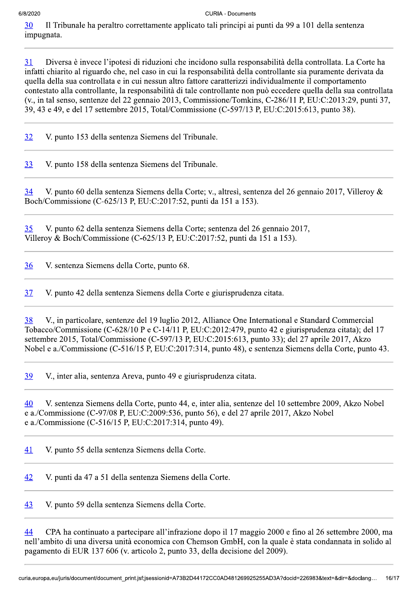30 Il Tribunale ha peraltro correttamente applicato tali principi ai punti da 99 a 101 della sentenza impugnata.

31 Diversa è invece l'ipotesi di riduzioni che incidono sulla responsabilità della controllata. La Corte ha infatti chiarito al riguardo che, nel caso in cui la responsabilità della controllante sia puramente derivata da quella della sua controllata e in cui nessun altro fattore caratterizzi individualmente il comportamento contestato alla controllante, la responsabilità di tale controllante non può eccedere quella della sua controllata  $V(x, 0.5)$  in tal senso, sentenze del 22 gennaio 2013, Commissione/Tomkins, C-286/11 P, EU:C:2013:29, punti 37, 39, 43 e 49, e del 17 settembre 2015, Total/Commissione (C-597/13 P, EU:C:2015:613, punto 38).

32 V. punto 153 della sentenza Siemens del Tribunale.

33 V. punto 158 della sentenza Siemens del Tribunale.

 $\frac{34}{18}$  V. punto 60 della sentenza Siemens della Corte; v., altresì, sentenza del 26 gennaio 2017, Villeroy & Boch/Commissione (C-625/13 P, EU:C:2017:52, punti da 151 a 153).

35 V. punto 62 della sentenza Siemens della Corte; sentenza del 26 gennaio 2017, Villeroy & Boch/Commissione (C-625/13 P, EU:C:2017:52, punti da 151 a 153).

36 V. sentenza Siemens della Corte, punto 68.

37 V. punto 42 della sentenza Siemens della Corte e giurisprudenza citata.

38 V., in particolare, sentenze del 19 luglio 2012, Alliance One International e Standard Commercial Tobacco/Commissione (C-628/10 P e C-14/11 P, EU:C:2012:479, punto 42 e giurisprudenza citata); del 17 settembre 2015, Total/Commissione (C-597/13 P, EU:C:2015:613, punto 33); del 27 aprile 2017, Akzo Nobel e a./Commissione (C-516/15 P, EU:C:2017:314, punto 48), e sentenza Siemens della Corte, punto 43.

39 V., inter alia, sentenza Areva, punto 49 e giurisprudenza citata.

40 V. sentenza Siemens della Corte, punto 44, e, inter alia, sentenze del 10 settembre 2009, Akzo Nobel e a./Commissione (C-97/08 P, EU:C:2009:536, punto 56), e del 27 aprile 2017, Akzo Nobel e a./Commissione (C-516/15 P, EU:C:2017:314, punto 49).

41 V. punto 55 della sentenza Siemens della Corte.

 $\frac{42}{8}$  V. punti da 47 a 51 della sentenza Siemens della Corte.

43 V. punto 59 della sentenza Siemens della Corte.

il 17 maggio 2000 e fino al 26 set<br>SmbH, con la quale è stata condar<br>ecisione del 2009).<br>D481269925255AD3A?docid=226983&text=8 <sup>44</sup> CPA ha continuato a partecipare all'infrazione dopo il 17 maggio 2000 e fino al 26 settembre 2000, ma nell'ambito di una diversa unità economica con Chemson GmbH, con la quale è stata condannata in solido al pagamento di EUR 137 606 (v. articolo 2, punto 33, della decisione del 2009).